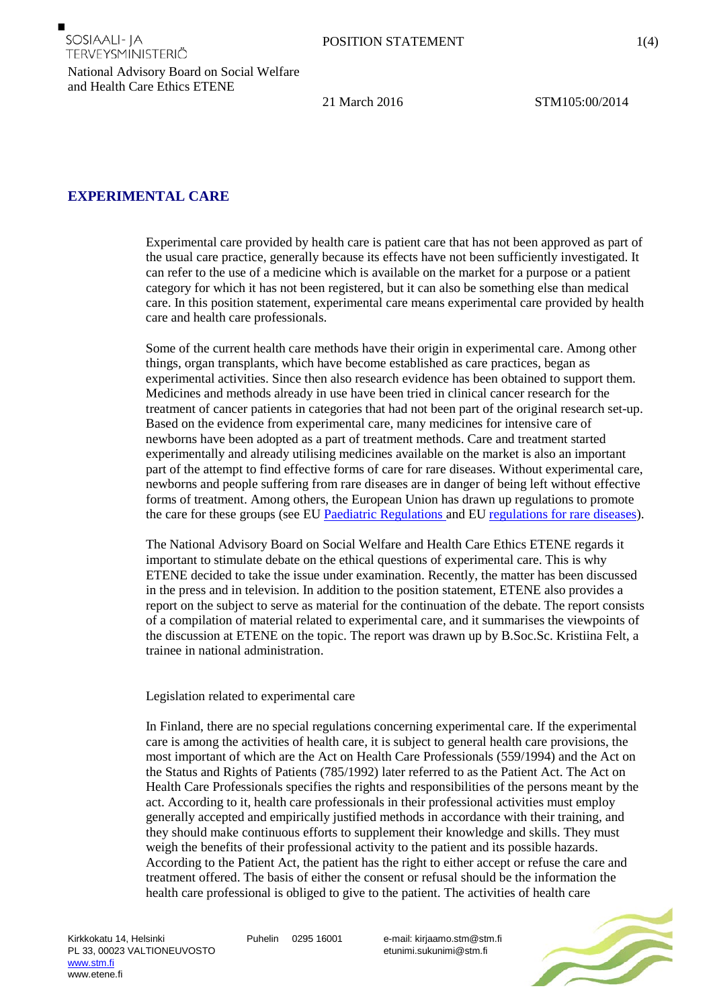

National Advisory Board on Social Welfare and Health Care Ethics ETENE

21 March 2016 STM105:00/2014

## **EXPERIMENTAL CARE**

SOSIAALI- JA

TERVEYSMINISTERIÖ

Experimental care provided by health care is patient care that has not been approved as part of the usual care practice, generally because its effects have not been sufficiently investigated. It can refer to the use of a medicine which is available on the market for a purpose or a patient category for which it has not been registered, but it can also be something else than medical care. In this position statement, experimental care means experimental care provided by health care and health care professionals.

Some of the current health care methods have their origin in experimental care. Among other things, organ transplants, which have become established as care practices, began as experimental activities. Since then also research evidence has been obtained to support them. Medicines and methods already in use have been tried in clinical cancer research for the treatment of cancer patients in categories that had not been part of the original research set-up. Based on the evidence from experimental care, many medicines for intensive care of newborns have been adopted as a part of treatment methods. Care and treatment started experimentally and already utilising medicines available on the market is also an important part of the attempt to find effective forms of care for rare diseases. Without experimental care, newborns and people suffering from rare diseases are in danger of being left without effective forms of treatment. Among others, the European Union has drawn up regulations to promote the care for these groups (see EU [Paediatric Regulations a](http://www.ema.europa.eu/ema/index.jsp?curl=pages/regulation/document_listing/document_listing_000068.jsp&mid=WC0b01ac0580925c45)nd E[U regulations for rare diseases\)](http://www.ema.europa.eu/ema/index.jsp?curl=pages/regulation/general/general_content_000029.jsp&mid=WC0b01ac05800240ce).

The National Advisory Board on Social Welfare and Health Care Ethics ETENE regards it important to stimulate debate on the ethical questions of experimental care. This is why ETENE decided to take the issue under examination. Recently, the matter has been discussed in the press and in television. In addition to the position statement, ETENE also provides a report on the subject to serve as material for the continuation of the debate. The report consists of a compilation of material related to experimental care, and it summarises the viewpoints of the discussion at ETENE on the topic. The report was drawn up by B.Soc.Sc. Kristiina Felt, a trainee in national administration.

## Legislation related to experimental care

In Finland, there are no special regulations concerning experimental care. If the experimental care is among the activities of health care, it is subject to general health care provisions, the most important of which are the Act on Health Care Professionals (559/1994) and the Act on the Status and Rights of Patients (785/1992) later referred to as the Patient Act. The Act on Health Care Professionals specifies the rights and responsibilities of the persons meant by the act. According to it, health care professionals in their professional activities must employ generally accepted and empirically justified methods in accordance with their training, and they should make continuous efforts to supplement their knowledge and skills. They must weigh the benefits of their professional activity to the patient and its possible hazards. According to the Patient Act, the patient has the right to either accept or refuse the care and treatment offered. The basis of either the consent or refusal should be the information the health care professional is obliged to give to the patient. The activities of health care

Puhelin 0295 16001 e-mail: kirjaamo.stm@stm.fi etunimi.sukunimi@stm.fi

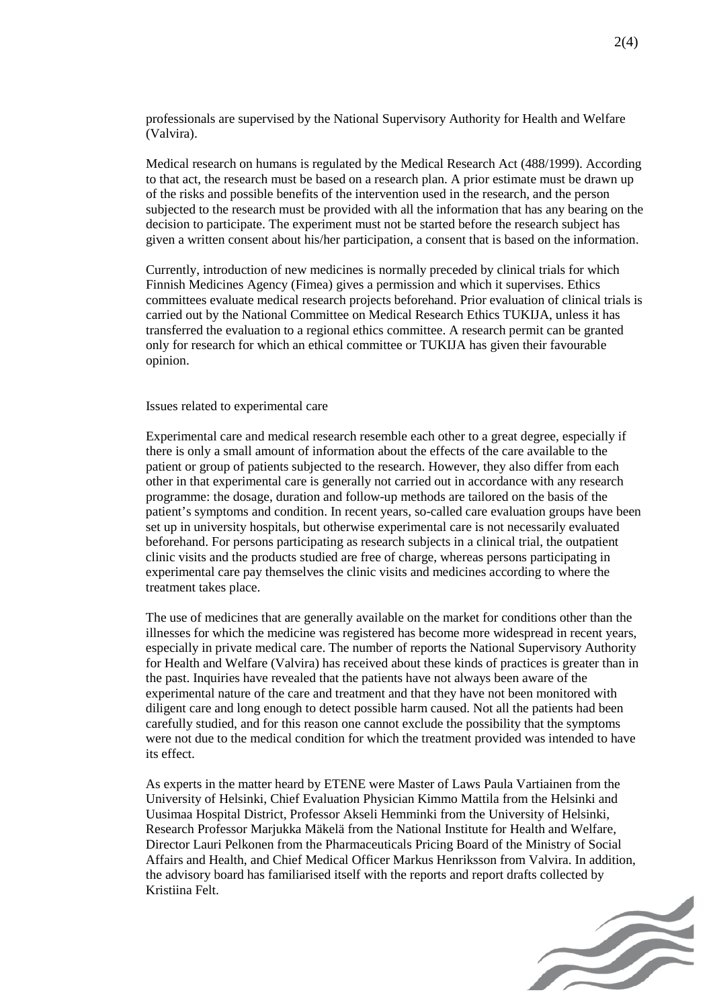professionals are supervised by the National Supervisory Authority for Health and Welfare (Valvira).

Medical research on humans is regulated by the Medical Research Act (488/1999). According to that act, the research must be based on a research plan. A prior estimate must be drawn up of the risks and possible benefits of the intervention used in the research, and the person subjected to the research must be provided with all the information that has any bearing on the decision to participate. The experiment must not be started before the research subject has given a written consent about his/her participation, a consent that is based on the information.

Currently, introduction of new medicines is normally preceded by clinical trials for which Finnish Medicines Agency (Fimea) gives a permission and which it supervises. Ethics committees evaluate medical research projects beforehand. Prior evaluation of clinical trials is carried out by the National Committee on Medical Research Ethics TUKIJA, unless it has transferred the evaluation to a regional ethics committee. A research permit can be granted only for research for which an ethical committee or TUKIJA has given their favourable opinion.

Issues related to experimental care

Experimental care and medical research resemble each other to a great degree, especially if there is only a small amount of information about the effects of the care available to the patient or group of patients subjected to the research. However, they also differ from each other in that experimental care is generally not carried out in accordance with any research programme: the dosage, duration and follow-up methods are tailored on the basis of the patient's symptoms and condition. In recent years, so-called care evaluation groups have been set up in university hospitals, but otherwise experimental care is not necessarily evaluated beforehand. For persons participating as research subjects in a clinical trial, the outpatient clinic visits and the products studied are free of charge, whereas persons participating in experimental care pay themselves the clinic visits and medicines according to where the treatment takes place.

The use of medicines that are generally available on the market for conditions other than the illnesses for which the medicine was registered has become more widespread in recent years, especially in private medical care. The number of reports the National Supervisory Authority for Health and Welfare (Valvira) has received about these kinds of practices is greater than in the past. Inquiries have revealed that the patients have not always been aware of the experimental nature of the care and treatment and that they have not been monitored with diligent care and long enough to detect possible harm caused. Not all the patients had been carefully studied, and for this reason one cannot exclude the possibility that the symptoms were not due to the medical condition for which the treatment provided was intended to have its effect.

As experts in the matter heard by ETENE were Master of Laws Paula Vartiainen from the University of Helsinki, Chief Evaluation Physician Kimmo Mattila from the Helsinki and Uusimaa Hospital District, Professor Akseli Hemminki from the University of Helsinki, Research Professor Marjukka Mäkelä from the National Institute for Health and Welfare, Director Lauri Pelkonen from the Pharmaceuticals Pricing Board of the Ministry of Social Affairs and Health, and Chief Medical Officer Markus Henriksson from Valvira. In addition, the advisory board has familiarised itself with the reports and report drafts collected by Kristiina Felt.

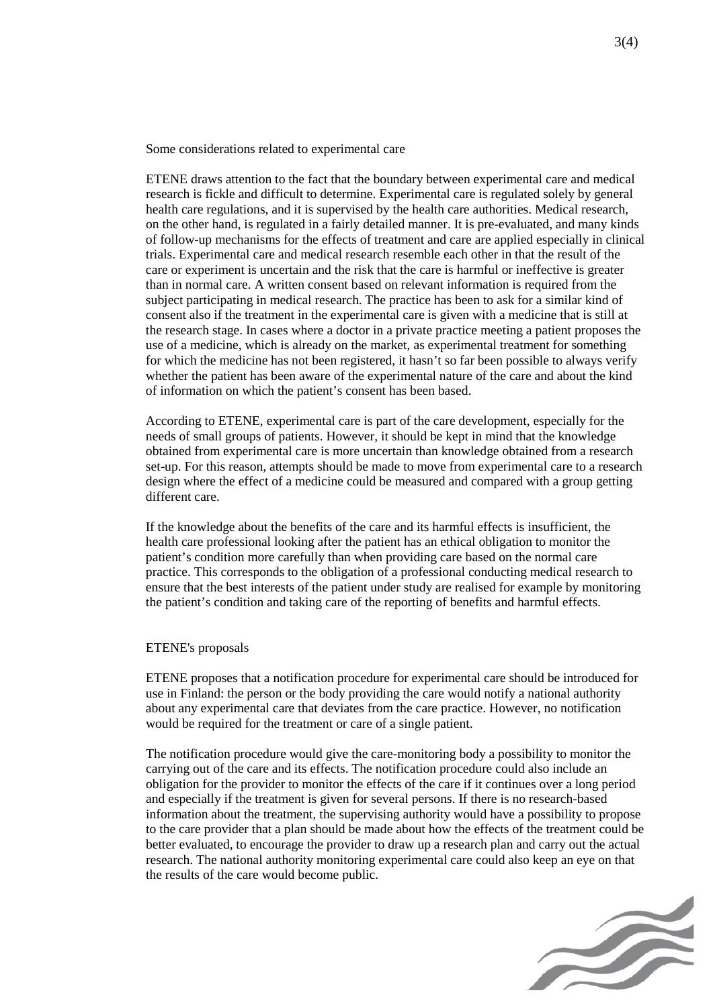Some considerations related to experimental care

ETENE draws attention to the fact that the boundary between experimental care and medical research is fickle and difficult to determine. Experimental care is regulated solely by general health care regulations, and it is supervised by the health care authorities. Medical research, on the other hand, is regulated in a fairly detailed manner. It is pre-evaluated, and many kinds of follow-up mechanisms for the effects of treatment and care are applied especially in clinical trials. Experimental care and medical research resemble each other in that the result of the care or experiment is uncertain and the risk that the care is harmful or ineffective is greater than in normal care. A written consent based on relevant information is required from the subject participating in medical research. The practice has been to ask for a similar kind of consent also if the treatment in the experimental care is given with a medicine that is still at the research stage. In cases where a doctor in a private practice meeting a patient proposes the use of a medicine, which is already on the market, as experimental treatment for something for which the medicine has not been registered, it hasn't so far been possible to always verify whether the patient has been aware of the experimental nature of the care and about the kind of information on which the patient's consent has been based.

According to ETENE, experimental care is part of the care development, especially for the needs of small groups of patients. However, it should be kept in mind that the knowledge obtained from experimental care is more uncertain than knowledge obtained from a research set-up. For this reason, attempts should be made to move from experimental care to a research design where the effect of a medicine could be measured and compared with a group getting different care.

If the knowledge about the benefits of the care and its harmful effects is insufficient, the health care professional looking after the patient has an ethical obligation to monitor the patient's condition more carefully than when providing care based on the normal care practice. This corresponds to the obligation of a professional conducting medical research to ensure that the best interests of the patient under study are realised for example by monitoring the patient's condition and taking care of the reporting of benefits and harmful effects.

## ETENE's proposals

ETENE proposes that a notification procedure for experimental care should be introduced for use in Finland: the person or the body providing the care would notify a national authority about any experimental care that deviates from the care practice. However, no notification would be required for the treatment or care of a single patient.

The notification procedure would give the care-monitoring body a possibility to monitor the carrying out of the care and its effects. The notification procedure could also include an obligation for the provider to monitor the effects of the care if it continues over a long period and especially if the treatment is given for several persons. If there is no research-based information about the treatment, the supervising authority would have a possibility to propose to the care provider that a plan should be made about how the effects of the treatment could be better evaluated, to encourage the provider to draw up a research plan and carry out the actual research. The national authority monitoring experimental care could also keep an eye on that the results of the care would become public.